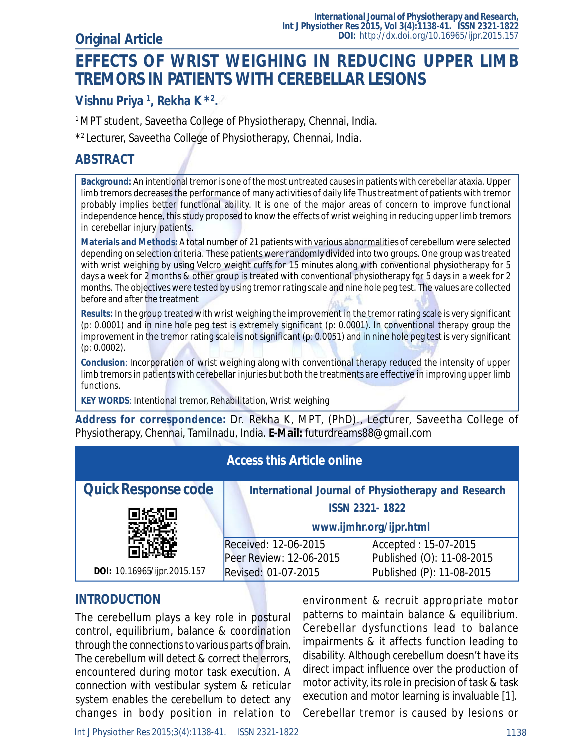# **EFFECTS OF WRIST WEIGHING IN REDUCING UPPER LIMB TREMORS IN PATIENTS WITH CEREBELLAR LESIONS**

### **Vishnu Priya <sup>1</sup> , Rekha K \*<sup>2</sup> .**

<sup>1</sup> MPT student, Saveetha College of Physiotherapy, Chennai, India.

\* <sup>2</sup>Lecturer, Saveetha College of Physiotherapy, Chennai, India.

#### **ABSTRACT**

**Background:** An intentional tremor is one of the most untreated causes in patients with cerebellar ataxia. Upper limb tremors decreases the performance of many activities of daily life Thus treatment of patients with tremor probably implies better functional ability. It is one of the major areas of concern to improve functional independence hence, this study proposed to know the effects of wrist weighing in reducing upper limb tremors in cerebellar injury patients.

**Materials and Methods:** A total number of 21 patients with various abnormalities of cerebellum were selected depending on selection criteria. These patients were randomly divided into two groups. One group was treated with wrist weighing by using Velcro weight cuffs for 15 minutes along with conventional physiotherapy for 5 days a week for 2 months & other group is treated with conventional physiotherapy for 5 days in a week for 2 months. The objectives were tested by using tremor rating scale and nine hole peg test. The values are collected before and after the treatment

**Results:** In the group treated with wrist weighing the improvement in the tremor rating scale is very significant (p: 0.0001) and in nine hole peg test is extremely significant (p: 0.0001). In conventional therapy group the improvement in the tremor rating scale is not significant (p: 0.0051) and in nine hole peg test is very significant (p: 0.0002).

**Conclusion**: Incorporation of wrist weighing along with conventional therapy reduced the intensity of upper limb tremors in patients with cerebellar injuries but both the treatments are effective in improving upper limb functions.

**KEY WORDS**: Intentional tremor, Rehabilitation, Wrist weighing

**Address for correspondence:** Dr. Rekha K, MPT, (PhD)., Lecturer, Saveetha College of Physiotherapy, Chennai, Tamilnadu, India. **E-Mail:** [futurdreams88@gmail.com](mailto:futurdreams88@gmail.com)

| <b>Access this Article online</b>                   |                                                   |  |  |  |  |  |  |  |
|-----------------------------------------------------|---------------------------------------------------|--|--|--|--|--|--|--|
| International Journal of Physiotherapy and Research |                                                   |  |  |  |  |  |  |  |
| <b>ISSN 2321-1822</b><br>www.ijmhr.org/ijpr.html    |                                                   |  |  |  |  |  |  |  |
| Received: 12-06-2015<br>Peer Review: 12-06-2015     | Accepted: 15-07-2015<br>Published (O): 11-08-2015 |  |  |  |  |  |  |  |
| Revised: 01-07-2015                                 | Published (P): 11-08-2015                         |  |  |  |  |  |  |  |
|                                                     |                                                   |  |  |  |  |  |  |  |

#### **INTRODUCTION**

The cerebellum plays a key role in postural control, equilibrium, balance & coordination through the connections to various parts of brain. The cerebellum will detect & correct the errors, encountered during motor task execution. A connection with vestibular system & reticular system enables the cerebellum to detect any changes in body position in relation to environment & recruit appropriate motor patterns to maintain balance & equilibrium. Cerebellar dysfunctions lead to balance impairments & it affects function leading to disability. Although cerebellum doesn't have its direct impact influence over the production of motor activity, its role in precision of task & task execution and motor learning is invaluable [1].

Cerebellar tremor is caused by lesions or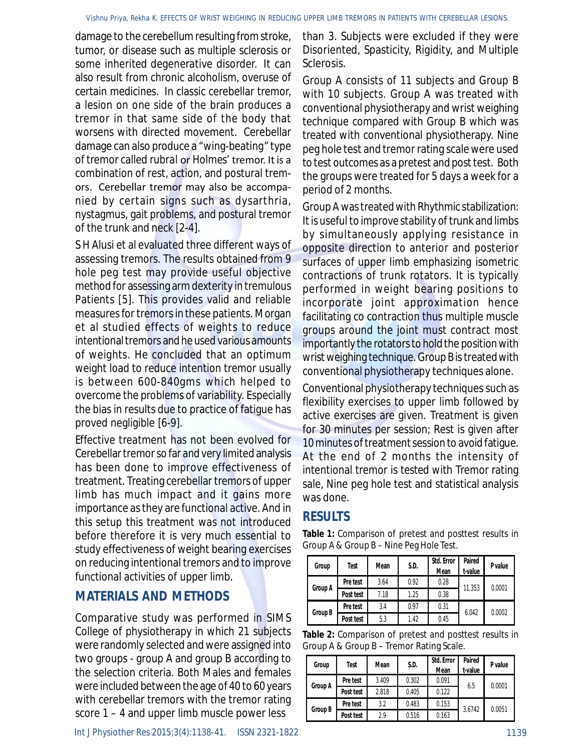damage to the cerebellum resulting from stroke, tumor, or disease such as multiple sclerosis or some inherited degenerative disorder. It can also result from chronic alcoholism, overuse of certain medicines. In classic cerebellar tremor, a lesion on one side of the brain produces a tremor in that same side of the body that worsens with directed movement. Cerebellar damage can also produce a "wing-beating" type of tremor called *rubral* or *Holmes'* tremor. It is a combination of rest, action, and postural tremors. Cerebellar tremor may also be accompanied by certain signs such as dysarthria, nystagmus, gait problems, and postural tremor of the trunk and neck [2-4].

S H Alusi et al evaluated three different ways of assessing tremors. The results obtained from 9 hole peg test may provide useful objective method for assessing arm dexterity in tremulous Patients [5]. This provides valid and reliable measures for tremors in these patients. Morgan et al studied effects of weights to reduce intentional tremors and he used various amounts of weights. He concluded that an optimum weight load to reduce intention tremor usually is between 600-840gms which helped to overcome the problems of variability. Especially the bias in results due to practice of fatigue has proved negligible [6-9].

Effective treatment has not been evolved for Cerebellar tremor so far and very limited analysis has been done to improve effectiveness of treatment. Treating cerebellar tremors of upper limb has much impact and it gains more importance as they are functional active. And in this setup this treatment was not introduced before therefore it is very much essential to study effectiveness of weight bearing exercises on reducing intentional tremors and to improve functional activities of upper limb.

#### **MATERIALS AND METHODS**

Comparative study was performed in SIMS College of physiotherapy in which 21 subjects were randomly selected and were assigned into two groups - group A and group B according to the selection criteria. Both Males and females were included between the age of 40 to 60 years with cerebellar tremors with the tremor rating score 1 – 4 and upper limb muscle power less

than 3. Subjects were excluded if they were Disoriented, Spasticity, Rigidity, and Multiple Sclerosis.

Group A consists of 11 subjects and Group B with 10 subjects. Group A was treated with conventional physiotherapy and wrist weighing technique compared with Group B which was treated with conventional physiotherapy. Nine peg hole test and tremor rating scale were used to test outcomes as a pretest and post test. Both the groups were treated for 5 days a week for a period of 2 months.

Group A was treated with Rhythmic stabilization: It is useful to improve stability of trunk and limbs by simultaneously applying resistance in opposite direction to anterior and posterior surfaces of upper limb emphasizing isometric contractions of trunk rotators. It is typically performed in weight bearing positions to incorporate joint approximation hence facilitating co contraction thus multiple muscle groups around the joint must contract most importantly the rotators to hold the position with wrist weighing technique. Group B is treated with conventional physiotherapy techniques alone.

Conventional physiotherapy techniques such as flexibility exercises to upper limb followed by active exercises are given. Treatment is given for 30 minutes per session; Rest is given after 10 minutes of treatment session to avoid fatigue. At the end of 2 months the intensity of intentional tremor is tested with Tremor rating sale, Nine peg hole test and statistical analysis was done.

## **RESULTS**

**Table 1:** Comparison of pretest and posttest results in Group A & Group B – Nine Peg Hole Test.

| Group          | Test      | Mean | S.D. | Std. Error<br>Mean | Paired<br>t-value | P value |
|----------------|-----------|------|------|--------------------|-------------------|---------|
| Group A        | Pre test  | 3.64 | 0.92 | 0.28               | 11.353            | 0.0001  |
|                | Post test | 7.18 | 1.25 | 0.38               |                   |         |
| <b>Group B</b> | Pre test  | 3.4  | 0.97 | 0.31               | 6.042             | 0.0002  |
|                | Post test | 5.3  | 1.42 | 0.45               |                   |         |

| Table 2: Comparison of pretest and posttest results in |  |
|--------------------------------------------------------|--|
| Group A & Group B – Tremor Rating Scale.               |  |

| Group          | Test      | Mean  | S.D.  | Std. Error<br>Mean | Paired<br>t-value | P value |
|----------------|-----------|-------|-------|--------------------|-------------------|---------|
| Group A        | Pre test  | 3.409 | 0.302 | 0.091              | 6.5               | 0.0001  |
|                | Post test | 2.818 | 0.405 | 0.122              |                   |         |
| <b>Group B</b> | Pre test  | 3.2   | 0.483 | 0.153              | 3.6742            | 0.0051  |
|                | Post test | 2.9   | 0.516 | 0.163              |                   |         |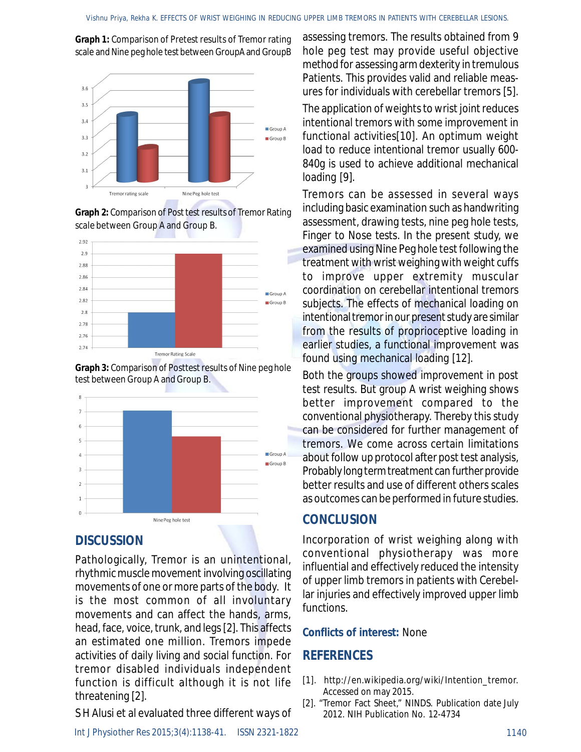**Graph 1:** Comparison of Pretest results of Tremor rating scale and Nine peg hole test between GroupA and GroupB



**Graph 2:** Comparison of Post test results of Tremor Rating scale between Group A and Group B.



**Graph 3:** Comparison of Posttest results of Nine peg hole test between Group A and Group B.



#### **DISCUSSION**

Pathologically, Tremor is an unintentional, rhythmic muscle movement involving oscillating movements of one or more parts of the body. It is the most common of all involuntary movements and can affect the hands, arms, head, face, voice, trunk, and legs [2]. This affects an estimated one million. Tremors impede activities of daily living and social function. For tremor disabled individuals independent function is difficult although it is not life threatening [2].

S H Alusi et al evaluated three different ways of

*Int J Physiother Res 2015;3(4):1138-41.* ISSN 2321-1822 1140

assessing tremors. The results obtained from 9 hole peg test may provide useful objective method for assessing arm dexterity in tremulous Patients. This provides valid and reliable measures for individuals with cerebellar tremors [5].

The application of weights to wrist joint reduces intentional tremors with some improvement in functional activities[10]. An optimum weight load to reduce intentional tremor usually 600- 840g is used to achieve additional mechanical loading [9].

Tremors can be assessed in several ways including basic examination such as handwriting assessment, drawing tests, nine peg hole tests, Finger to Nose tests. In the present study, we examined using Nine Peg hole test following the treatment with wrist weighing with weight cuffs to improve upper extremity muscular coordination on cerebellar intentional tremors subjects. The effects of mechanical loading on intentional tremor in our present study are similar from the results of proprioceptive loading in earlier studies, a functional improvement was found using mechanical loading [12].

Both the groups showed improvement in post test results. But group A wrist weighing shows better improvement compared to the conventional physiotherapy. Thereby this study can be considered for further management of tremors. We come across certain limitations about follow up protocol after post test analysis, Probably long term treatment can further provide better results and use of different others scales as outcomes can be performed in future studies.

#### **CONCLUSION**

Incorporation of wrist weighing along with conventional physiotherapy was more influential and effectively reduced the intensity of upper limb tremors in patients with Cerebellar injuries and effectively improved upper limb functions.

#### **Conflicts of interest:** None

#### **REFERENCES**

- [1]. [http://en.wikipedia.org/wiki/Intention\\_tremor.](http://en.wikipedia.org/wiki/Intention_tremor.) Accessed on may 2015.
- [2]. "Tremor Fact Sheet," NINDS. Publication date July 2012. NIH Publication No. 12-4734